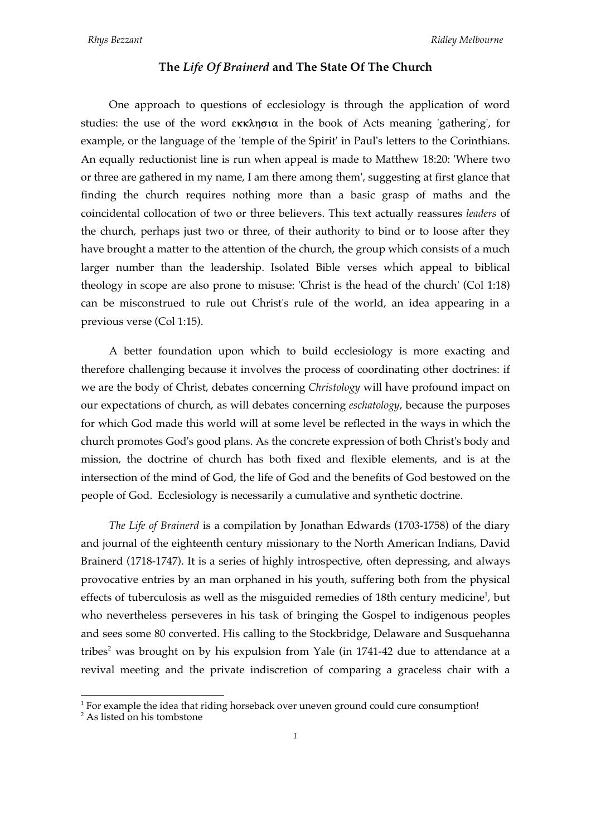## **The** *Life Of Brainerd* **and The State Of The Church**

One approach to questions of ecclesiology is through the application of word studies: the use of the word  $\epsilon$ KK $\lambda$ n $\sigma$ ia in the book of Acts meaning 'gathering', for example, or the language of the 'temple of the Spirit' in Paul's letters to the Corinthians. An equally reductionist line is run when appeal is made to Matthew 18:20: 'Where two or three are gathered in my name, I am there among them', suggesting at first glance that finding the church requires nothing more than a basic grasp of maths and the coincidental collocation of two or three believers. This text actually reassures *leaders* of the church, perhaps just two or three, of their authority to bind or to loose after they have brought a matter to the attention of the church, the group which consists of a much larger number than the leadership. Isolated Bible verses which appeal to biblical theology in scope are also prone to misuse: 'Christ is the head of the church' (Col 1:18) can be misconstrued to rule out Christ's rule of the world, an idea appearing in a previous verse (Col 1:15).

A better foundation upon which to build ecclesiology is more exacting and therefore challenging because it involves the process of coordinating other doctrines: if we are the body of Christ, debates concerning *Christology* will have profound impact on our expectations of church, as will debates concerning *eschatology*, because the purposes for which God made this world will at some level be reflected in the ways in which the church promotes God's good plans. As the concrete expression of both Christ's body and mission, the doctrine of church has both fixed and flexible elements, and is at the intersection of the mind of God, the life of God and the benefits of God bestowed on the people of God. Ecclesiology is necessarily a cumulative and synthetic doctrine.

*The Life of Brainerd* is a compilation by Jonathan Edwards (1703-1758) of the diary and journal of the eighteenth century missionary to the North American Indians, David Brainerd (1718-1747). It is a series of highly introspective, often depressing, and always provocative entries by an man orphaned in his youth, suffering both from the physical effects of tuberculosis as well as the misguided remedies of 18th century medicine<sup>1</sup>, but who nevertheless perseveres in his task of bringing the Gospel to indigenous peoples and sees some 80 converted. His calling to the Stockbridge, Delaware and Susquehanna tribes<sup>2</sup> was brought on by his expulsion from Yale (in 1741-42 due to attendance at a revival meeting and the private indiscretion of comparing a graceless chair with a

 $\frac{1}{1}$  $1$  For example the idea that riding horseback over uneven ground could cure consumption!

 $2$ As listed on his tombstone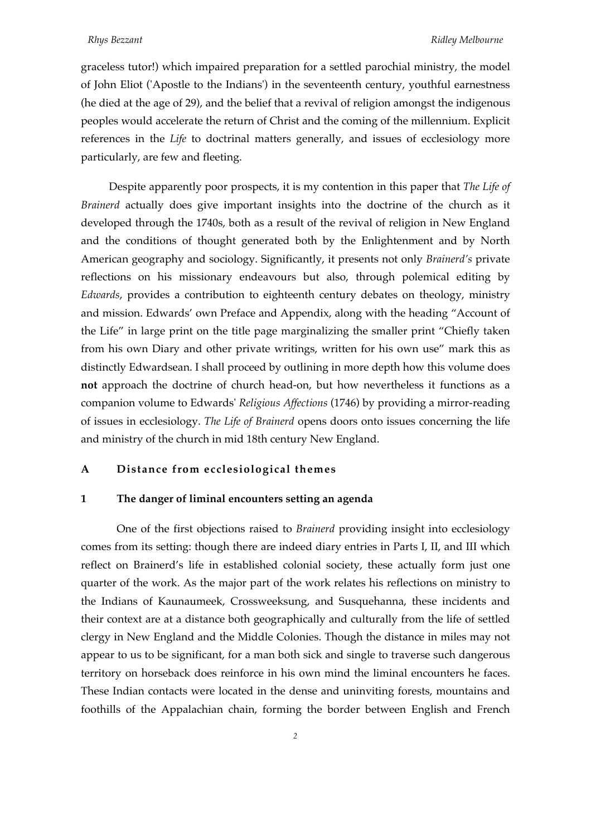graceless tutor!) which impaired preparation for a settled parochial ministry, the model of John Eliot ('Apostle to the Indians') in the seventeenth century, youthful earnestness (he died at the age of 29), and the belief that a revival of religion amongst the indigenous peoples would accelerate the return of Christ and the coming of the millennium. Explicit references in the *Life* to doctrinal matters generally, and issues of ecclesiology more particularly, are few and fleeting.

Despite apparently poor prospects, it is my contention in this paper that *The Life of Brainerd* actually does give important insights into the doctrine of the church as it developed through the 1740s, both as a result of the revival of religion in New England and the conditions of thought generated both by the Enlightenment and by North American geography and sociology. Significantly, it presents not only *Brainerd's* private reflections on his missionary endeavours but also, through polemical editing by *Edwards*, provides a contribution to eighteenth century debates on theology, ministry and mission. Edwards' own Preface and Appendix, along with the heading "Account of the Life" in large print on the title page marginalizing the smaller print "Chiefly taken from his own Diary and other private writings, written for his own use" mark this as distinctly Edwardsean. I shall proceed by outlining in more depth how this volume does **not** approach the doctrine of church head-on, but how nevertheless it functions as a companion volume to Edwards' *Religious Affections* (1746) by providing a mirror-reading of issues in ecclesiology. *The Life of Brainerd* opens doors onto issues concerning the life and ministry of the church in mid 18th century New England.

## **A Distance from ecclesiological themes**

## **1 The danger of liminal encounters setting an agenda**

One of the first objections raised to *Brainerd* providing insight into ecclesiology comes from its setting: though there are indeed diary entries in Parts I, II, and III which reflect on Brainerd's life in established colonial society, these actually form just one quarter of the work. As the major part of the work relates his reflections on ministry to the Indians of Kaunaumeek, Crossweeksung, and Susquehanna, these incidents and their context are at a distance both geographically and culturally from the life of settled clergy in New England and the Middle Colonies. Though the distance in miles may not appear to us to be significant, for a man both sick and single to traverse such dangerous territory on horseback does reinforce in his own mind the liminal encounters he faces. These Indian contacts were located in the dense and uninviting forests, mountains and foothills of the Appalachian chain, forming the border between English and French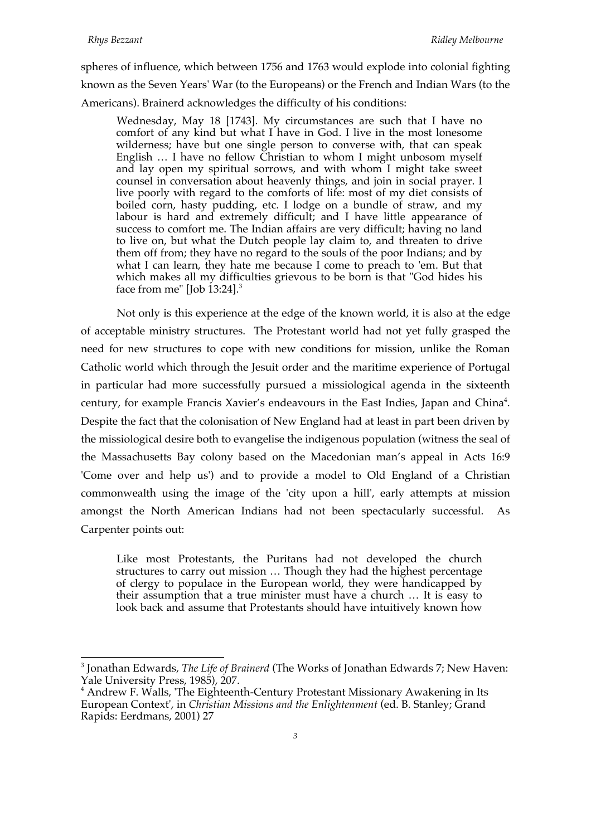spheres of influence, which between 1756 and 1763 would explode into colonial fighting known as the Seven Years' War (to the Europeans) or the French and Indian Wars (to the Americans). Brainerd acknowledges the difficulty of his conditions:

Wednesday, May 18 [1743]. My circumstances are such that I have no comfort of any kind but what I have in God. I live in the most lonesome wilderness; have but one single person to converse with, that can speak English … I have no fellow Christian to whom I might unbosom myself and lay open my spiritual sorrows, and with whom I might take sweet counsel in conversation about heavenly things, and join in social prayer. I live poorly with regard to the comforts of life: most of my diet consists of boiled corn, hasty pudding, etc. I lodge on a bundle of straw, and my labour is hard and extremely difficult; and I have little appearance of success to comfort me. The Indian affairs are very difficult; having no land to live on, but what the Dutch people lay claim to, and threaten to drive them off from; they have no regard to the souls of the poor Indians; and by what I can learn, they hate me because I come to preach to 'em. But that which makes all my difficulties grievous to be born is that "God hides his face from me" [Job  $13:24$ ].<sup>3</sup>

Not only is this experience at the edge of the known world, it is also at the edge of acceptable ministry structures. The Protestant world had not yet fully grasped the need for new structures to cope with new conditions for mission, unlike the Roman Catholic world which through the Jesuit order and the maritime experience of Portugal in particular had more successfully pursued a missiological agenda in the sixteenth century, for example Francis Xavier's endeavours in the East Indies, Japan and China<sup>4</sup>. Despite the fact that the colonisation of New England had at least in part been driven by the missiological desire both to evangelise the indigenous population (witness the seal of the Massachusetts Bay colony based on the Macedonian man's appeal in Acts 16:9 'Come over and help us') and to provide a model to Old England of a Christian commonwealth using the image of the 'city upon a hill', early attempts at mission amongst the North American Indians had not been spectacularly successful. As Carpenter points out:

Like most Protestants, the Puritans had not developed the church structures to carry out mission … Though they had the highest percentage of clergy to populace in the European world, they were handicapped by their assumption that a true minister must have a church … It is easy to look back and assume that Protestants should have intuitively known how

<sup>3</sup> Jonathan Edwards, *The Life of Brainerd* (The Works of Jonathan Edwards 7; New Haven: Yale University Press, 1985), 207.

<sup>&</sup>lt;sup>4</sup> Andrew F. Walls, 'The Eighteenth-Century Protestant Missionary Awakening in Its European Context', in *Christian Missions and the Enlightenment* (ed. B. Stanley; Grand Rapids: Eerdmans, 2001) 27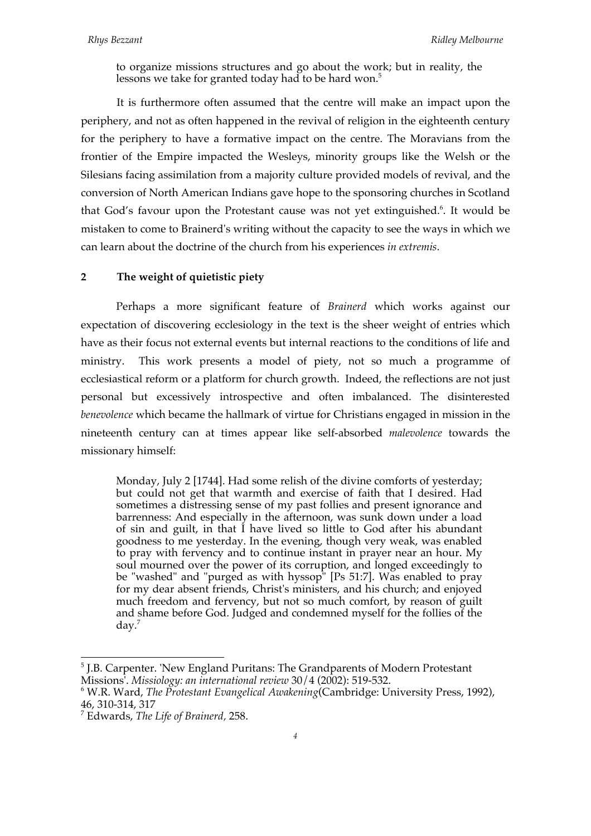to organize missions structures and go about the work; but in reality, the lessons we take for granted today had to be hard won.<sup>5</sup>

It is furthermore often assumed that the centre will make an impact upon the periphery, and not as often happened in the revival of religion in the eighteenth century for the periphery to have a formative impact on the centre. The Moravians from the frontier of the Empire impacted the Wesleys, minority groups like the Welsh or the Silesians facing assimilation from a majority culture provided models of revival, and the conversion of North American Indians gave hope to the sponsoring churches in Scotland that God's favour upon the Protestant cause was not yet extinguished.<sup>6</sup>. It would be mistaken to come to Brainerd's writing without the capacity to see the ways in which we can learn about the doctrine of the church from his experiences *in extremis*.

# **2 The weight of quietistic piety**

Perhaps a more significant feature of *Brainerd* which works against our expectation of discovering ecclesiology in the text is the sheer weight of entries which have as their focus not external events but internal reactions to the conditions of life and ministry. This work presents a model of piety, not so much a programme of ecclesiastical reform or a platform for church growth. Indeed, the reflections are not just personal but excessively introspective and often imbalanced. The disinterested *benevolence* which became the hallmark of virtue for Christians engaged in mission in the nineteenth century can at times appear like self-absorbed *malevolence* towards the missionary himself:

Monday, July 2 [1744]. Had some relish of the divine comforts of yesterday; but could not get that warmth and exercise of faith that I desired. Had sometimes a distressing sense of my past follies and present ignorance and barrenness: And especially in the afternoon, was sunk down under a load of sin and guilt, in that I have lived so little to God after his abundant goodness to me yesterday. In the evening, though very weak, was enabled to pray with fervency and to continue instant in prayer near an hour. My soul mourned over the power of its corruption, and longed exceedingly to be "washed" and "purged as with hyssop" [Ps 51:7]. Was enabled to pray for my dear absent friends, Christ's ministers, and his church; and enjoyed much freedom and fervency, but not so much comfort, by reason of guilt and shame before God. Judged and condemned myself for the follies of the day.7

<sup>5</sup> J.B. Carpenter. 'New England Puritans: The Grandparents of Modern Protestant Missions'. *Missiology: an international review* 30/4 (2002): 519-532.

<sup>6</sup> W.R. Ward, *The Protestant Evangelical Awakening*(Cambridge: University Press, 1992), 46, 310-314, 317

<sup>7</sup> Edwards, *The Life of Brainerd,* 258.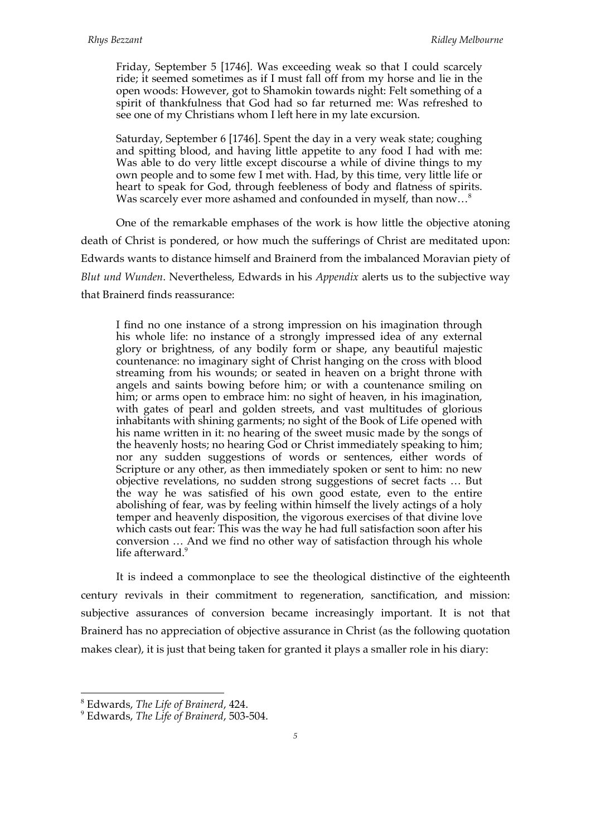Friday, September 5 [1746]. Was exceeding weak so that I could scarcely ride; it seemed sometimes as if I must fall off from my horse and lie in the open woods: However, got to Shamokin towards night: Felt something of a spirit of thankfulness that God had so far returned me: Was refreshed to see one of my Christians whom I left here in my late excursion.

Saturday, September 6 [1746]. Spent the day in a very weak state; coughing and spitting blood, and having little appetite to any food I had with me: Was able to do very little except discourse a while of divine things to my own people and to some few I met with. Had, by this time, very little life or heart to speak for God, through feebleness of body and flatness of spirits. Was scarcely ever more ashamed and confounded in myself, than now...<sup>8</sup>

One of the remarkable emphases of the work is how little the objective atoning death of Christ is pondered, or how much the sufferings of Christ are meditated upon: Edwards wants to distance himself and Brainerd from the imbalanced Moravian piety of *Blut und Wunden*. Nevertheless, Edwards in his *Appendix* alerts us to the subjective way that Brainerd finds reassurance:

I find no one instance of a strong impression on his imagination through his whole life: no instance of a strongly impressed idea of any external glory or brightness, of any bodily form or shape, any beautiful majestic countenance: no imaginary sight of Christ hanging on the cross with blood streaming from his wounds; or seated in heaven on a bright throne with angels and saints bowing before him; or with a countenance smiling on him; or arms open to embrace him: no sight of heaven, in his imagination, with gates of pearl and golden streets, and vast multitudes of glorious inhabitants with shining garments; no sight of the Book of Life opened with his name written in it: no hearing of the sweet music made by the songs of the heavenly hosts; no hearing God or Christ immediately speaking to him; nor any sudden suggestions of words or sentences, either words of Scripture or any other, as then immediately spoken or sent to him: no new objective revelations, no sudden strong suggestions of secret facts … But the way he was satisfied of his own good estate, even to the entire abolishing of fear, was by feeling within himself the lively actings of a holy temper and heavenly disposition, the vigorous exercises of that divine love which casts out fear: This was the way he had full satisfaction soon after his conversion … And we find no other way of satisfaction through his whole life afterward.<sup>9</sup>

It is indeed a commonplace to see the theological distinctive of the eighteenth century revivals in their commitment to regeneration, sanctification, and mission: subjective assurances of conversion became increasingly important. It is not that Brainerd has no appreciation of objective assurance in Christ (as the following quotation makes clear), it is just that being taken for granted it plays a smaller role in his diary:

8 Edwards, *The Life of Brainerd*, 424.

<sup>9</sup> Edwards, *The Life of Brainerd*, 503-504.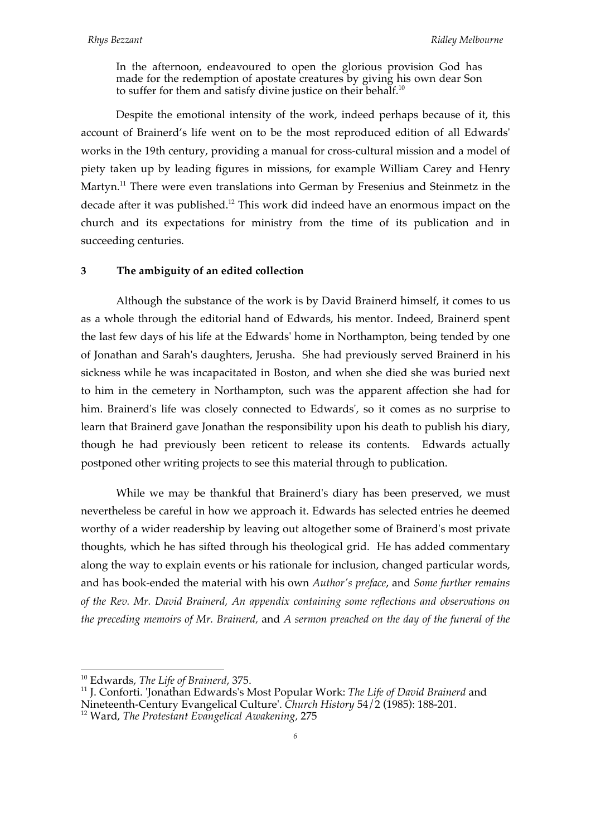In the afternoon, endeavoured to open the glorious provision God has made for the redemption of apostate creatures by giving his own dear Son to suffer for them and satisfy divine justice on their behalf.<sup>10</sup>

Despite the emotional intensity of the work, indeed perhaps because of it, this account of Brainerd's life went on to be the most reproduced edition of all Edwards' works in the 19th century, providing a manual for cross-cultural mission and a model of piety taken up by leading figures in missions, for example William Carey and Henry Martyn.<sup>11</sup> There were even translations into German by Fresenius and Steinmetz in the decade after it was published.<sup>12</sup> This work did indeed have an enormous impact on the church and its expectations for ministry from the time of its publication and in succeeding centuries.

## **3 The ambiguity of an edited collection**

Although the substance of the work is by David Brainerd himself, it comes to us as a whole through the editorial hand of Edwards, his mentor. Indeed, Brainerd spent the last few days of his life at the Edwards' home in Northampton, being tended by one of Jonathan and Sarah's daughters, Jerusha. She had previously served Brainerd in his sickness while he was incapacitated in Boston, and when she died she was buried next to him in the cemetery in Northampton, such was the apparent affection she had for him. Brainerd's life was closely connected to Edwards', so it comes as no surprise to learn that Brainerd gave Jonathan the responsibility upon his death to publish his diary, though he had previously been reticent to release its contents. Edwards actually postponed other writing projects to see this material through to publication.

While we may be thankful that Brainerd's diary has been preserved, we must nevertheless be careful in how we approach it. Edwards has selected entries he deemed worthy of a wider readership by leaving out altogether some of Brainerd's most private thoughts, which he has sifted through his theological grid. He has added commentary along the way to explain events or his rationale for inclusion, changed particular words, and has book-ended the material with his own *Author's preface*, and *Some further remains of the Rev. Mr. David Brainerd, An appendix containing some reflections and observations on the preceding memoirs of Mr. Brainerd,* and *A sermon preached on the day of the funeral of the* 

10 Edwards, *The Life of Brainerd*, 375.

<sup>11</sup> J. Conforti. 'Jonathan Edwards's Most Popular Work: *The Life of David Brainerd* and Nineteenth-Century Evangelical Culture'. *Church History* 54/2 (1985): 188-201.

<sup>12</sup> Ward, *The Protestant Evangelical Awakening,* 275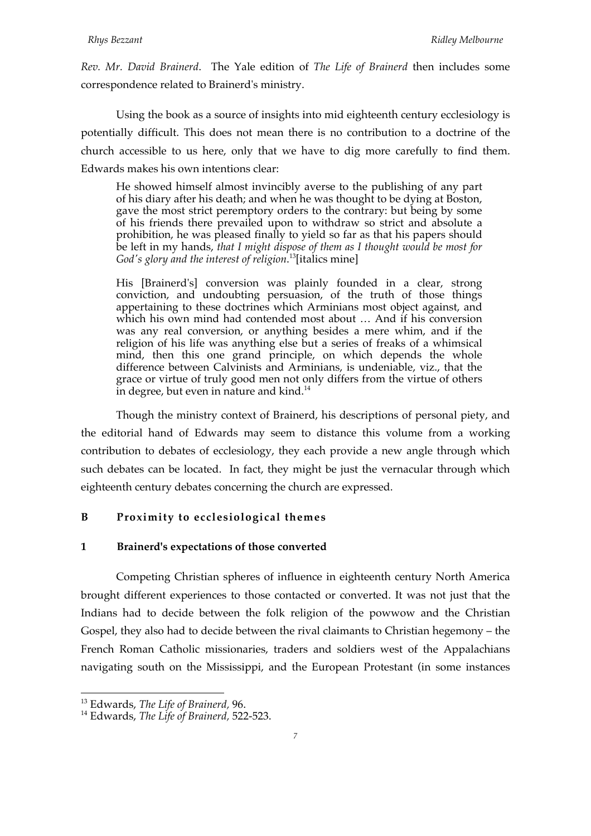*Rev. Mr. David Brainerd*. The Yale edition of *The Life of Brainerd* then includes some correspondence related to Brainerd's ministry.

Using the book as a source of insights into mid eighteenth century ecclesiology is potentially difficult. This does not mean there is no contribution to a doctrine of the church accessible to us here, only that we have to dig more carefully to find them. Edwards makes his own intentions clear:

He showed himself almost invincibly averse to the publishing of any part of his diary after his death; and when he was thought to be dying at Boston, gave the most strict peremptory orders to the contrary: but being by some of his friends there prevailed upon to withdraw so strict and absolute a prohibition, he was pleased finally to yield so far as that his papers should be left in my hands, *that I might dispose of them as I thought would be most for God's glory and the interest of religion*. 13[italics mine]

His [Brainerd's] conversion was plainly founded in a clear, strong conviction, and undoubting persuasion, of the truth of those things appertaining to these doctrines which Arminians most object against, and which his own mind had contended most about ... And if his conversion was any real conversion, or anything besides a mere whim, and if the religion of his life was anything else but a series of freaks of a whimsical mind, then this one grand principle, on which depends the whole difference between Calvinists and Arminians, is undeniable, viz., that the grace or virtue of truly good men not only differs from the virtue of others in degree, but even in nature and kind. $14$ 

Though the ministry context of Brainerd, his descriptions of personal piety, and the editorial hand of Edwards may seem to distance this volume from a working contribution to debates of ecclesiology, they each provide a new angle through which such debates can be located. In fact, they might be just the vernacular through which eighteenth century debates concerning the church are expressed.

# **B Proximity to ecclesiological themes**

### **1 Brainerd's expectations of those converted**

Competing Christian spheres of influence in eighteenth century North America brought different experiences to those contacted or converted. It was not just that the Indians had to decide between the folk religion of the powwow and the Christian Gospel, they also had to decide between the rival claimants to Christian hegemony – the French Roman Catholic missionaries, traders and soldiers west of the Appalachians navigating south on the Mississippi, and the European Protestant (in some instances

13 Edwards, *The Life of Brainerd,* 96.

<sup>14</sup> Edwards, *The Life of Brainerd,* 522-523.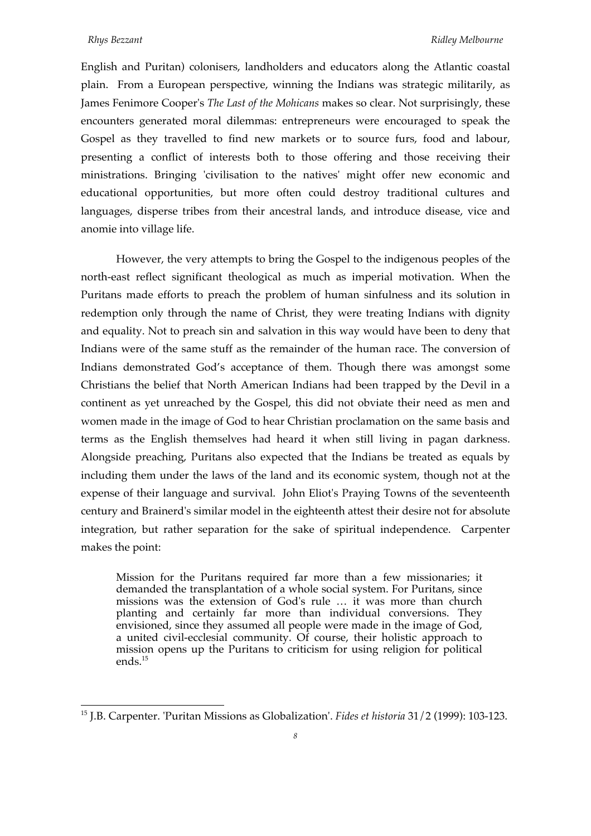English and Puritan) colonisers, landholders and educators along the Atlantic coastal plain. From a European perspective, winning the Indians was strategic militarily, as James Fenimore Cooper's *The Last of the Mohicans* makes so clear. Not surprisingly, these encounters generated moral dilemmas: entrepreneurs were encouraged to speak the Gospel as they travelled to find new markets or to source furs, food and labour, presenting a conflict of interests both to those offering and those receiving their ministrations. Bringing 'civilisation to the natives' might offer new economic and educational opportunities, but more often could destroy traditional cultures and languages, disperse tribes from their ancestral lands, and introduce disease, vice and anomie into village life.

However, the very attempts to bring the Gospel to the indigenous peoples of the north-east reflect significant theological as much as imperial motivation. When the Puritans made efforts to preach the problem of human sinfulness and its solution in redemption only through the name of Christ, they were treating Indians with dignity and equality. Not to preach sin and salvation in this way would have been to deny that Indians were of the same stuff as the remainder of the human race. The conversion of Indians demonstrated God's acceptance of them. Though there was amongst some Christians the belief that North American Indians had been trapped by the Devil in a continent as yet unreached by the Gospel, this did not obviate their need as men and women made in the image of God to hear Christian proclamation on the same basis and terms as the English themselves had heard it when still living in pagan darkness. Alongside preaching, Puritans also expected that the Indians be treated as equals by including them under the laws of the land and its economic system, though not at the expense of their language and survival. John Eliot's Praying Towns of the seventeenth century and Brainerd's similar model in the eighteenth attest their desire not for absolute integration, but rather separation for the sake of spiritual independence. Carpenter makes the point:

Mission for the Puritans required far more than a few missionaries; it demanded the transplantation of a whole social system. For Puritans, since missions was the extension of God's rule … it was more than church planting and certainly far more than individual conversions. They envisioned, since they assumed all people were made in the image of God, a united civil-ecclesial community. Of course, their holistic approach to mission opens up the Puritans to criticism for using religion for political ends.<sup>15</sup>

<sup>15</sup> J.B. Carpenter. 'Puritan Missions as Globalization'. *Fides et historia* 31/2 (1999): 103-123.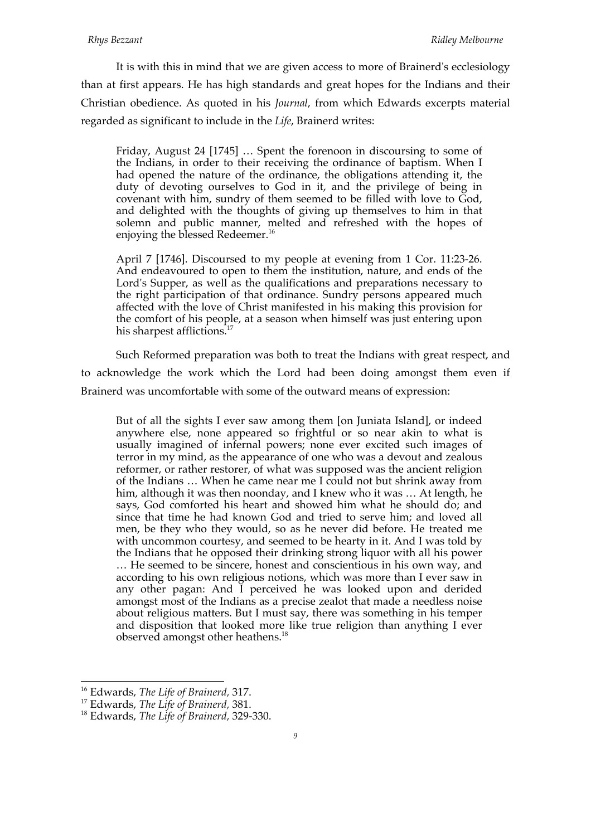It is with this in mind that we are given access to more of Brainerd's ecclesiology than at first appears. He has high standards and great hopes for the Indians and their Christian obedience. As quoted in his *Journal*, from which Edwards excerpts material regarded as significant to include in the *Life*, Brainerd writes:

Friday, August 24 [1745] … Spent the forenoon in discoursing to some of the Indians, in order to their receiving the ordinance of baptism. When I had opened the nature of the ordinance, the obligations attending it, the duty of devoting ourselves to God in it, and the privilege of being in covenant with him, sundry of them seemed to be filled with love to God, and delighted with the thoughts of giving up themselves to him in that solemn and public manner, melted and refreshed with the hopes of enjoying the blessed Redeemer.<sup>16</sup>

April 7 [1746]. Discoursed to my people at evening from 1 Cor. 11:23-26. And endeavoured to open to them the institution, nature, and ends of the Lord's Supper, as well as the qualifications and preparations necessary to the right participation of that ordinance. Sundry persons appeared much affected with the love of Christ manifested in his making this provision for the comfort of his people, at a season when himself was just entering upon his sharpest afflictions.<sup>17</sup>

Such Reformed preparation was both to treat the Indians with great respect, and to acknowledge the work which the Lord had been doing amongst them even if Brainerd was uncomfortable with some of the outward means of expression:

But of all the sights I ever saw among them [on Juniata Island], or indeed anywhere else, none appeared so frightful or so near akin to what is usually imagined of infernal powers; none ever excited such images of terror in my mind, as the appearance of one who was a devout and zealous reformer, or rather restorer, of what was supposed was the ancient religion of the Indians … When he came near me I could not but shrink away from him, although it was then noonday, and I knew who it was … At length, he says, God comforted his heart and showed him what he should do; and since that time he had known God and tried to serve him; and loved all men, be they who they would, so as he never did before. He treated me with uncommon courtesy, and seemed to be hearty in it. And I was told by the Indians that he opposed their drinking strong liquor with all his power … He seemed to be sincere, honest and conscientious in his own way, and according to his own religious notions, which was more than I ever saw in any other pagan: And I perceived he was looked upon and derided amongst most of the Indians as a precise zealot that made a needless noise about religious matters. But I must say, there was something in his temper and disposition that looked more like true religion than anything I ever observed amongst other heathens.<sup>18</sup>

16 Edwards, *The Life of Brainerd,* 317.

<sup>17</sup> Edwards, *The Life of Brainerd,* 381.

<sup>18</sup> Edwards, *The Life of Brainerd,* 329-330.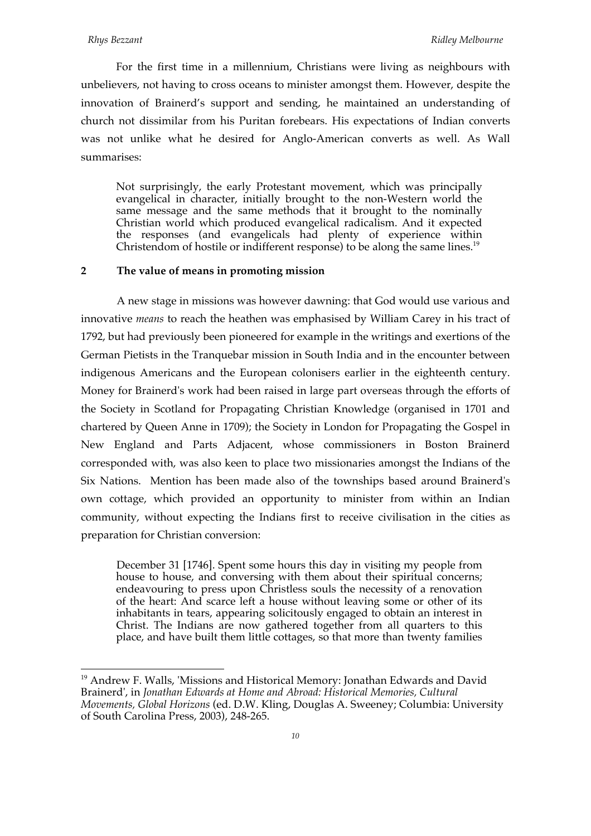For the first time in a millennium, Christians were living as neighbours with unbelievers, not having to cross oceans to minister amongst them. However, despite the innovation of Brainerd's support and sending, he maintained an understanding of church not dissimilar from his Puritan forebears. His expectations of Indian converts was not unlike what he desired for Anglo-American converts as well. As Wall summarises:

Not surprisingly, the early Protestant movement, which was principally evangelical in character, initially brought to the non-Western world the same message and the same methods that it brought to the nominally Christian world which produced evangelical radicalism. And it expected the responses (and evangelicals had plenty of experience within Christendom of hostile or indifferent response) to be along the same lines.<sup>19</sup>

## **2 The value of means in promoting mission**

A new stage in missions was however dawning: that God would use various and innovative *means* to reach the heathen was emphasised by William Carey in his tract of 1792, but had previously been pioneered for example in the writings and exertions of the German Pietists in the Tranquebar mission in South India and in the encounter between indigenous Americans and the European colonisers earlier in the eighteenth century. Money for Brainerd's work had been raised in large part overseas through the efforts of the Society in Scotland for Propagating Christian Knowledge (organised in 1701 and chartered by Queen Anne in 1709); the Society in London for Propagating the Gospel in New England and Parts Adjacent, whose commissioners in Boston Brainerd corresponded with, was also keen to place two missionaries amongst the Indians of the Six Nations. Mention has been made also of the townships based around Brainerd's own cottage, which provided an opportunity to minister from within an Indian community, without expecting the Indians first to receive civilisation in the cities as preparation for Christian conversion:

December 31 [1746]. Spent some hours this day in visiting my people from house to house, and conversing with them about their spiritual concerns; endeavouring to press upon Christless souls the necessity of a renovation of the heart: And scarce left a house without leaving some or other of its inhabitants in tears, appearing solicitously engaged to obtain an interest in Christ. The Indians are now gathered together from all quarters to this place, and have built them little cottages, so that more than twenty families

<sup>&</sup>lt;sup>19</sup> Andrew F. Walls, 'Missions and Historical Memory: Jonathan Edwards and David Brainerd', in *Jonathan Edwards at Home and Abroad: Historical Memories, Cultural Movements, Global Horizons* (ed. D.W. Kling, Douglas A. Sweeney; Columbia: University of South Carolina Press, 2003), 248-265.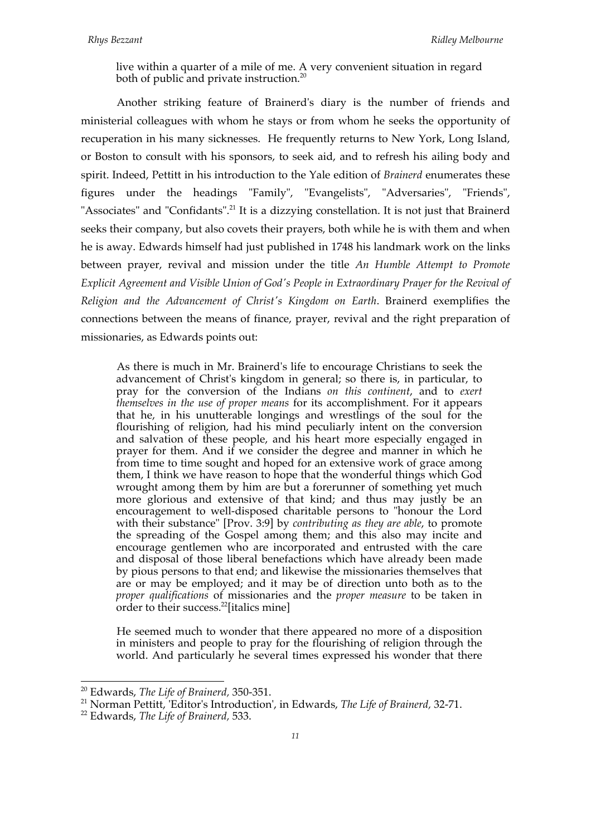live within a quarter of a mile of me. A very convenient situation in regard both of public and private instruction.<sup>20</sup>

Another striking feature of Brainerd's diary is the number of friends and ministerial colleagues with whom he stays or from whom he seeks the opportunity of recuperation in his many sicknesses. He frequently returns to New York, Long Island, or Boston to consult with his sponsors, to seek aid, and to refresh his ailing body and spirit. Indeed, Pettitt in his introduction to the Yale edition of *Brainerd* enumerates these figures under the headings "Family", "Evangelists", "Adversaries", "Friends", "Associates" and "Confidants".<sup>21</sup> It is a dizzying constellation. It is not just that Brainerd seeks their company, but also covets their prayers, both while he is with them and when he is away. Edwards himself had just published in 1748 his landmark work on the links between prayer, revival and mission under the title *An Humble Attempt to Promote Explicit Agreement and Visible Union of God's People in Extraordinary Prayer for the Revival of Religion and the Advancement of Christ's Kingdom on Earth*. Brainerd exemplifies the connections between the means of finance, prayer, revival and the right preparation of missionaries, as Edwards points out:

As there is much in Mr. Brainerd's life to encourage Christians to seek the advancement of Christ's kingdom in general; so there is, in particular, to pray for the conversion of the Indians *on this continent*, and to *exert themselves in the use of proper means* for its accomplishment. For it appears that he, in his unutterable longings and wrestlings of the soul for the flourishing of religion, had his mind peculiarly intent on the conversion and salvation of these people, and his heart more especially engaged in prayer for them. And if we consider the degree and manner in which he from time to time sought and hoped for an extensive work of grace among them, I think we have reason to hope that the wonderful things which God wrought among them by him are but a forerunner of something yet much more glorious and extensive of that kind; and thus may justly be an encouragement to well-disposed charitable persons to "honour the Lord with their substance" [Prov. 3:9] by *contributing as they are able*, to promote the spreading of the Gospel among them; and this also may incite and encourage gentlemen who are incorporated and entrusted with the care and disposal of those liberal benefactions which have already been made by pious persons to that end; and likewise the missionaries themselves that are or may be employed; and it may be of direction unto both as to the *proper qualifications* of missionaries and the *proper measure* to be taken in order to their success.<sup>22</sup>[italics mine]

He seemed much to wonder that there appeared no more of a disposition in ministers and people to pray for the flourishing of religion through the world. And particularly he several times expressed his wonder that there

20 Edwards, *The Life of Brainerd,* 350-351.

<sup>21</sup> Norman Pettitt, 'Editor's Introduction', in Edwards, *The Life of Brainerd,* 32-71.

<sup>22</sup> Edwards, *The Life of Brainerd,* 533.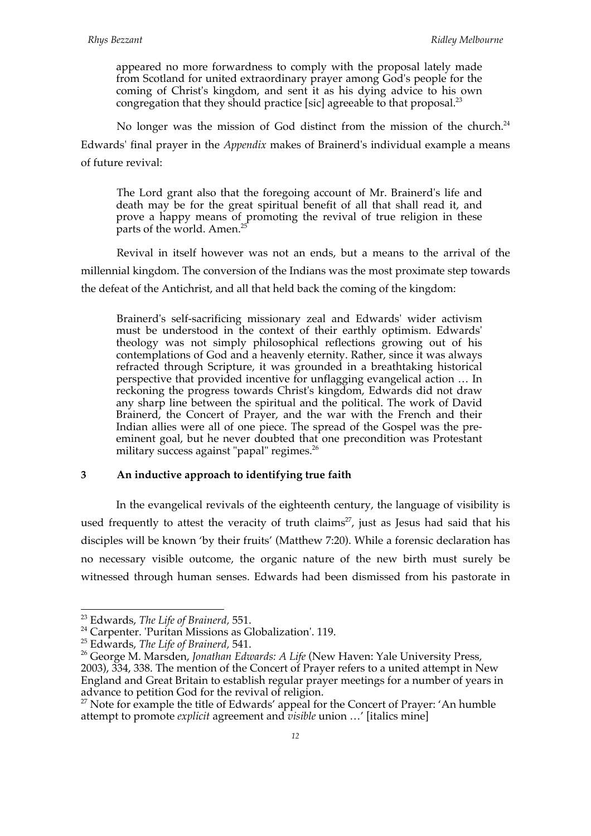appeared no more forwardness to comply with the proposal lately made from Scotland for united extraordinary prayer among God's people for the coming of Christ's kingdom, and sent it as his dying advice to his own congregation that they should practice [sic] agreeable to that proposal.<sup>23</sup>

No longer was the mission of God distinct from the mission of the church.<sup>24</sup> Edwards' final prayer in the *Appendix* makes of Brainerd's individual example a means of future revival:

The Lord grant also that the foregoing account of Mr. Brainerd's life and death may be for the great spiritual benefit of all that shall read it, and prove a happy means of promoting the revival of true religion in these parts of the world. Amen.<sup>25</sup>

Revival in itself however was not an ends, but a means to the arrival of the millennial kingdom. The conversion of the Indians was the most proximate step towards the defeat of the Antichrist, and all that held back the coming of the kingdom:

Brainerd's self-sacrificing missionary zeal and Edwards' wider activism must be understood in the context of their earthly optimism. Edwards' theology was not simply philosophical reflections growing out of his contemplations of God and a heavenly eternity. Rather, since it was always refracted through Scripture, it was grounded in a breathtaking historical perspective that provided incentive for unflagging evangelical action … In reckoning the progress towards Christ's kingdom, Edwards did not draw any sharp line between the spiritual and the political. The work of David Brainerd, the Concert of Prayer, and the war with the French and their Indian allies were all of one piece. The spread of the Gospel was the preeminent goal, but he never doubted that one precondition was Protestant military success against "papal" regimes.<sup>26</sup>

# **3 An inductive approach to identifying true faith**

In the evangelical revivals of the eighteenth century, the language of visibility is used frequently to attest the veracity of truth claims<sup>27</sup>, just as Jesus had said that his disciples will be known 'by their fruits' (Matthew 7:20). While a forensic declaration has no necessary visible outcome, the organic nature of the new birth must surely be witnessed through human senses. Edwards had been dismissed from his pastorate in

<sup>&</sup>lt;sup>23</sup> Edwards, *The Life of Brainerd*, 551.<br><sup>24</sup> Carpenter. 'Puritan Missions as Globalization'. 119.

<sup>25</sup> Edwards, *The Life of Brainerd,* 541.

<sup>26</sup> George M. Marsden, *Jonathan Edwards: A Life* (New Haven: Yale University Press, 2003), 334, 338. The mention of the Concert of Prayer refers to a united attempt in New England and Great Britain to establish regular prayer meetings for a number of years in advance to petition God for the revival of religion.

 $27$  Note for example the title of Edwards' appeal for the Concert of Prayer: 'An humble attempt to promote *explicit* agreement and *visible* union …' [italics mine]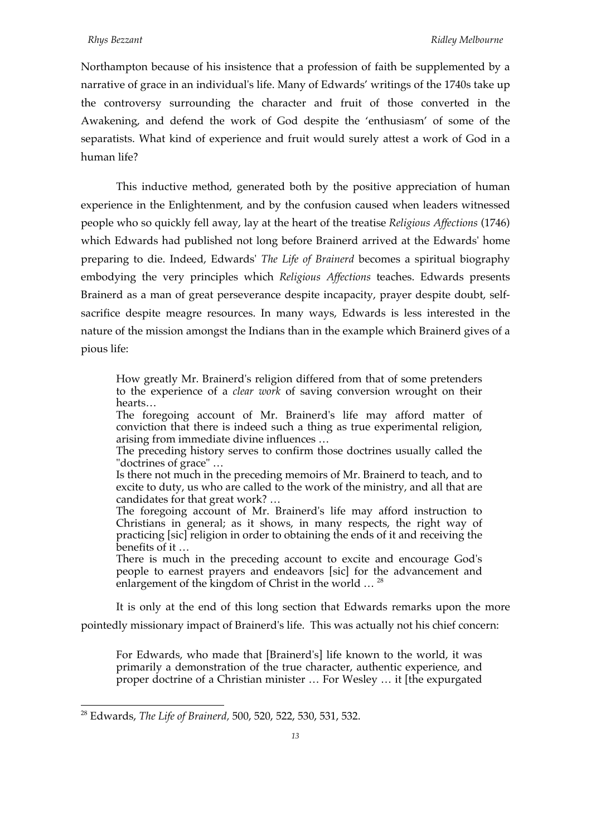Northampton because of his insistence that a profession of faith be supplemented by a narrative of grace in an individual's life. Many of Edwards' writings of the 1740s take up the controversy surrounding the character and fruit of those converted in the Awakening, and defend the work of God despite the 'enthusiasm' of some of the separatists. What kind of experience and fruit would surely attest a work of God in a human life?

This inductive method, generated both by the positive appreciation of human experience in the Enlightenment, and by the confusion caused when leaders witnessed people who so quickly fell away, lay at the heart of the treatise *Religious Affections* (1746) which Edwards had published not long before Brainerd arrived at the Edwards' home preparing to die. Indeed, Edwards' *The Life of Brainerd* becomes a spiritual biography embodying the very principles which *Religious Affections* teaches. Edwards presents Brainerd as a man of great perseverance despite incapacity, prayer despite doubt, selfsacrifice despite meagre resources. In many ways, Edwards is less interested in the nature of the mission amongst the Indians than in the example which Brainerd gives of a pious life:

How greatly Mr. Brainerd's religion differed from that of some pretenders to the experience of a *clear work* of saving conversion wrought on their hearts…

The foregoing account of Mr. Brainerd's life may afford matter of conviction that there is indeed such a thing as true experimental religion, arising from immediate divine influences …

The preceding history serves to confirm those doctrines usually called the "doctrines of grace" …

Is there not much in the preceding memoirs of Mr. Brainerd to teach, and to excite to duty, us who are called to the work of the ministry, and all that are candidates for that great work? …

The foregoing account of Mr. Brainerd's life may afford instruction to Christians in general; as it shows, in many respects, the right way of practicing [sic] religion in order to obtaining the ends of it and receiving the benefits of it …

There is much in the preceding account to excite and encourage God's people to earnest prayers and endeavors [sic] for the advancement and enlargement of the kingdom of Christ in the world ...<sup>28</sup>

It is only at the end of this long section that Edwards remarks upon the more pointedly missionary impact of Brainerd's life. This was actually not his chief concern:

For Edwards, who made that [Brainerd's] life known to the world, it was primarily a demonstration of the true character, authentic experience, and proper doctrine of a Christian minister … For Wesley … it [the expurgated

28 Edwards, *The Life of Brainerd,* 500, 520, 522, 530, 531, 532.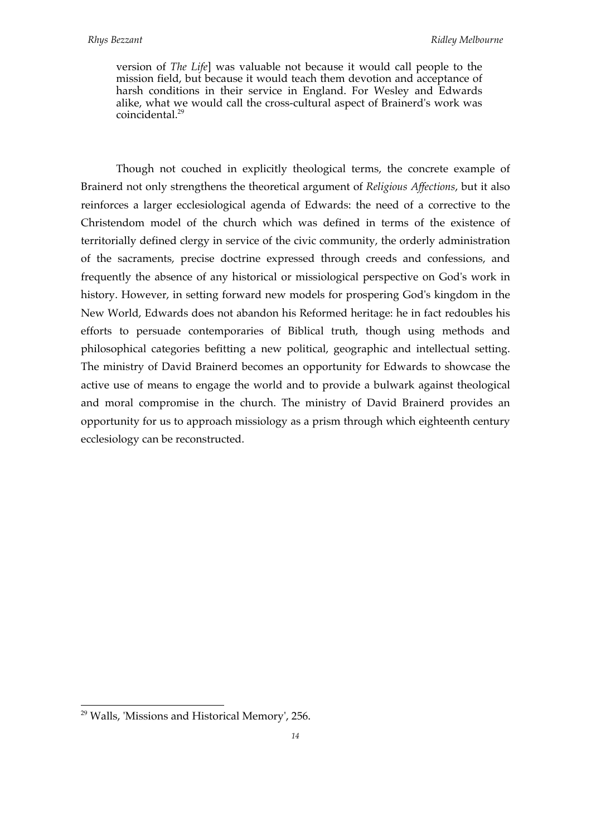version of *The Life*] was valuable not because it would call people to the mission field, but because it would teach them devotion and acceptance of harsh conditions in their service in England. For Wesley and Edwards alike, what we would call the cross-cultural aspect of Brainerd's work was coincidental.<sup>29</sup>

Though not couched in explicitly theological terms, the concrete example of Brainerd not only strengthens the theoretical argument of *Religious Affections*, but it also reinforces a larger ecclesiological agenda of Edwards: the need of a corrective to the Christendom model of the church which was defined in terms of the existence of territorially defined clergy in service of the civic community, the orderly administration of the sacraments, precise doctrine expressed through creeds and confessions, and frequently the absence of any historical or missiological perspective on God's work in history. However, in setting forward new models for prospering God's kingdom in the New World, Edwards does not abandon his Reformed heritage: he in fact redoubles his efforts to persuade contemporaries of Biblical truth, though using methods and philosophical categories befitting a new political, geographic and intellectual setting. The ministry of David Brainerd becomes an opportunity for Edwards to showcase the active use of means to engage the world and to provide a bulwark against theological and moral compromise in the church. The ministry of David Brainerd provides an opportunity for us to approach missiology as a prism through which eighteenth century ecclesiology can be reconstructed.

29 Walls, 'Missions and Historical Memory', 256.